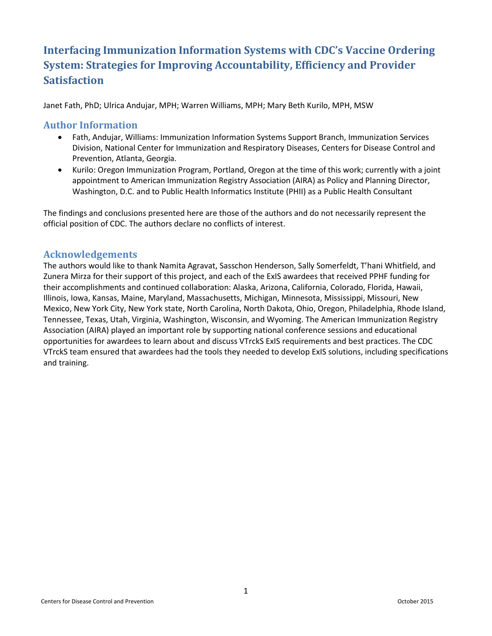# **Interfacing Immunization Information Systems with CDC's Vaccine Ordering System: Strategies for Improving Accountability, Efficiency and Provider Satisfaction**

Janet Fath, PhD; Ulrica Andujar, MPH; Warren Williams, MPH; Mary Beth Kurilo, MPH, MSW

#### **Author Information**

- $\bullet$ Fath, Andujar, Williams: Immunization Information Systems Support Branch, Immunization Services Division, National Center for Immunization and Respiratory Diseases, Centers for Disease Control and Prevention, Atlanta, Georgia.
- Kurilo: Oregon Immunization Program, Portland, Oregon at the time of this work; currently with a joint appointment to American Immunization Registry Association (AIRA) as Policy and Planning Director, Washington, D.C. and to Public Health Informatics Institute (PHII) as a Public Health Consultant

The findings and conclusions presented here are those of the authors and do not necessarily represent the official position of CDC. The authors declare no conflicts of interest.

### **Acknowledgements**

The authors would like to thank Namita Agravat, Sasschon Henderson, Sally Somerfeldt, T'hani Whitfield, and Zunera Mirza for their support of this project, and each of the ExIS awardees that received PPHF funding for their accomplishments and continued collaboration: Alaska, Arizona, California, Colorado, Florida, Hawaii, Illinois, Iowa, Kansas, Maine, Maryland, Massachusetts, Michigan, Minnesota, Mississippi, Missouri, New Mexico, New York City, New York state, North Carolina, North Dakota, Ohio, Oregon, Philadelphia, Rhode Island, Tennessee, Texas, Utah, Virginia, Washington, Wisconsin, and Wyoming. The American Immunization Registry Association (AIRA) played an important role by supporting national conference sessions and educational opportunities for awardees to learn about and discuss VTrckS ExIS requirements and best practices. The CDC VTrckS team ensured that awardees had the tools they needed to develop ExIS solutions, including specifications and training.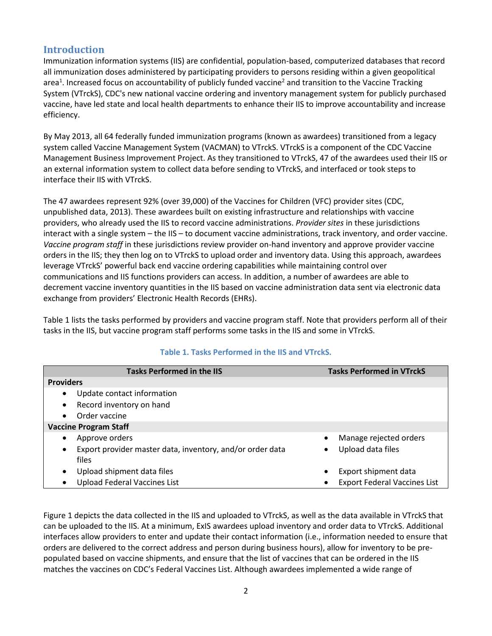# **Introduction**

Immunization information systems (IIS) are confidential, population-based, computerized databases that record all immunization doses administered by participating providers to persons residing within a given geopolitical area<sup>1</sup>. Increased focus on accountability of publicly funded vaccine<sup>2</sup> and transition to the Vaccine Tracking System (VTrckS), CDC's new national vaccine ordering and inventory management system for publicly purchased vaccine, have led state and local health departments to enhance their IIS to improve accountability and increase efficiency.

By May 2013, all 64 federally funded immunization programs (known as awardees) transitioned from a legacy system called Vaccine Management System (VACMAN) to VTrckS. VTrckS is a component of the CDC Vaccine Management Business Improvement Project. As they transitioned to VTrckS, 47 of the awardees used their IIS or an external information system to collect data before sending to VTrckS, and interfaced or took steps to interface their IIS with VTrckS.

The 47 awardees represent 92% (over 39,000) of the Vaccines for Children (VFC) provider sites (CDC, unpublished data, 2013). These awardees built on existing infrastructure and relationships with vaccine providers, who already used the IIS to record vaccine administrations. *Provider sites* in these jurisdictions interact with a single system – the IIS – to document vaccine administrations, track inventory, and order vaccine. *Vaccine program staff* in these jurisdictions review provider on-hand inventory and approve provider vaccine orders in the IIS; they then log on to VTrckS to upload order and inventory data. Using this approach, awardees leverage VTrckS' powerful back end vaccine ordering capabilities while maintaining control over communications and IIS functions providers can access. In addition, a number of awardees are able to decrement vaccine inventory quantities in the IIS based on vaccine administration data sent via electronic data exchange from providers' Electronic Health Records (EHRs).

Table 1 lists the tasks performed by providers and vaccine program staff. Note that providers perform all of their tasks in the IIS, but vaccine program staff performs some tasks in the IIS and some in VTrckS.

| <b>Tasks Performed in the IIS</b>                                      | <b>Tasks Performed in VTrckS</b>         |  |  |  |  |
|------------------------------------------------------------------------|------------------------------------------|--|--|--|--|
| <b>Providers</b>                                                       |                                          |  |  |  |  |
| Update contact information<br>$\bullet$                                |                                          |  |  |  |  |
| Record inventory on hand<br>$\bullet$                                  |                                          |  |  |  |  |
| Order vaccine<br>$\bullet$                                             |                                          |  |  |  |  |
| <b>Vaccine Program Staff</b>                                           |                                          |  |  |  |  |
| Approve orders<br>$\bullet$                                            | Manage rejected orders<br>$\bullet$      |  |  |  |  |
| Export provider master data, inventory, and/or order data<br>$\bullet$ | Upload data files<br>$\bullet$           |  |  |  |  |
| files                                                                  |                                          |  |  |  |  |
| Upload shipment data files<br>$\bullet$                                | Export shipment data<br>٠                |  |  |  |  |
| <b>Upload Federal Vaccines List</b><br>$\bullet$                       | <b>Export Federal Vaccines List</b><br>٠ |  |  |  |  |

#### **Table 1. Tasks Performed in the IIS and VTrckS.**

Figure 1 depicts the data collected in the IIS and uploaded to VTrckS, as well as the data available in VTrckS that can be uploaded to the IIS. At a minimum, ExIS awardees upload inventory and order data to VTrckS. Additional interfaces allow providers to enter and update their contact information (i.e., information needed to ensure that orders are delivered to the correct address and person during business hours), allow for inventory to be prepopulated based on vaccine shipments, and ensure that the list of vaccines that can be ordered in the IIS matches the vaccines on CDC's Federal Vaccines List. Although awardees implemented a wide range of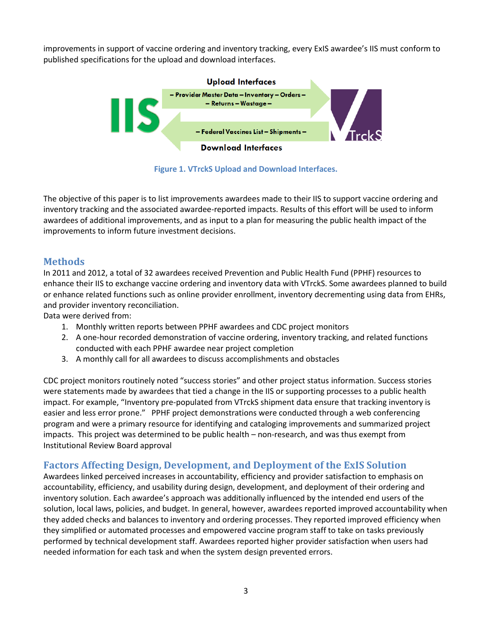improvements in support of vaccine ordering and inventory tracking, every ExIS awardee's IIS must conform to published specifications for the upload and download interfaces.



**Figure 1. VTrckS Upload and Download Interfaces.** 

The objective of this paper is to list improvements awardees made to their IIS to support vaccine ordering and inventory tracking and the associated awardee-reported impacts. Results of this effort will be used to inform awardees of additional improvements, and as input to a plan for measuring the public health impact of the improvements to inform future investment decisions.

### **Methods**

In 2011 and 2012, a total of 32 awardees received Prevention and Public Health Fund (PPHF) resources to enhance their IIS to exchange vaccine ordering and inventory data with VTrckS. Some awardees planned to build or enhance related functions such as online provider enrollment, inventory decrementing using data from EHRs, and provider inventory reconciliation.

Data were derived from:

- 1. Monthly written reports between PPHF awardees and CDC project monitors
- 2. A one-hour recorded demonstration of vaccine ordering, inventory tracking, and related functions conducted with each PPHF awardee near project completion
- 3. A monthly call for all awardees to discuss accomplishments and obstacles

CDC project monitors routinely noted "success stories" and other project status information. Success stories were statements made by awardees that tied a change in the IIS or supporting processes to a public health impact. For example, "Inventory pre-populated from VTrckS shipment data ensure that tracking inventory is easier and less error prone." PPHF project demonstrations were conducted through a web conferencing program and were a primary resource for identifying and cataloging improvements and summarized project impacts. This project was determined to be public health – non-research, and was thus exempt from Institutional Review Board approval

### **Factors Affecting Design, Development, and Deployment of the ExIS Solution**

Awardees linked perceived increases in accountability, efficiency and provider satisfaction to emphasis on accountability, efficiency, and usability during design, development, and deployment of their ordering and inventory solution. Each awardee's approach was additionally influenced by the intended end users of the solution, local laws, policies, and budget. In general, however, awardees reported improved accountability when they added checks and balances to inventory and ordering processes. They reported improved efficiency when they simplified or automated processes and empowered vaccine program staff to take on tasks previously performed by technical development staff. Awardees reported higher provider satisfaction when users had needed information for each task and when the system design prevented errors.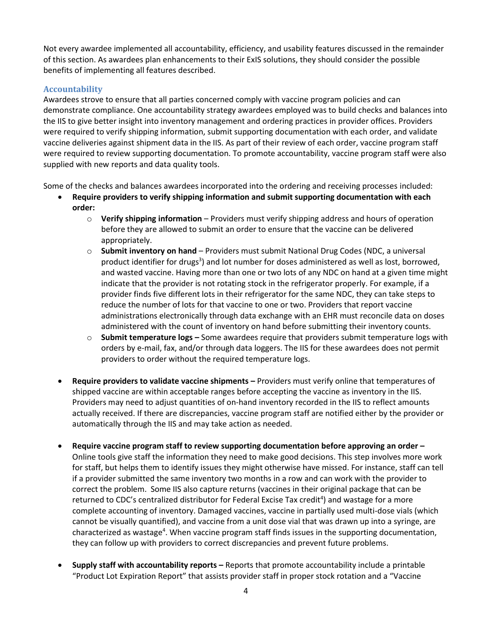Not every awardee implemented all accountability, efficiency, and usability features discussed in the remainder of this section. As awardees plan enhancements to their ExIS solutions, they should consider the possible benefits of implementing all features described.

#### **Accountability**

 $\bullet$ 

Awardees strove to ensure that all parties concerned comply with vaccine program policies and can demonstrate compliance. One accountability strategy awardees employed was to build checks and balances into the IIS to give better insight into inventory management and ordering practices in provider offices. Providers were required to verify shipping information, submit supporting documentation with each order, and validate vaccine deliveries against shipment data in the IIS. As part of their review of each order, vaccine program staff were required to review supporting documentation. To promote accountability, vaccine program staff were also supplied with new reports and data quality tools.

Some of the checks and balances awardees incorporated into the ordering and receiving processes included:

- **Require providers to verify shipping information and submit supporting documentation with each order:** 
	- o **Verify shipping information**  Providers must verify shipping address and hours of operation before they are allowed to submit an order to ensure that the vaccine can be delivered appropriately.
	- o **Submit inventory on hand** Providers must submit National Drug Codes (NDC, a universal product identifier for drugs<sup>3</sup>) and lot number for doses administered as well as lost, borrowed, and wasted vaccine. Having more than one or two lots of any NDC on hand at a given time might indicate that the provider is not rotating stock in the refrigerator properly. For example, if a provider finds five different lots in their refrigerator for the same NDC, they can take steps to reduce the number of lots for that vaccine to one or two. Providers that report vaccine administrations electronically through data exchange with an EHR must reconcile data on doses administered with the count of inventory on hand before submitting their inventory counts.
	- o **Submit temperature logs –** Some awardees require that providers submit temperature logs with orders by e-mail, fax, and/or through data loggers. The IIS for these awardees does not permit providers to order without the required temperature logs.
- $\bullet$ **Require providers to validate vaccine shipments –** Providers must verify online that temperatures of shipped vaccine are within acceptable ranges before accepting the vaccine as inventory in the IIS. Providers may need to adjust quantities of on-hand inventory recorded in the IIS to reflect amounts actually received. If there are discrepancies, vaccine program staff are notified either by the provider or automatically through the IIS and may take action as needed.
- $\bullet$ **Require vaccine program staff to review supporting documentation before approving an order –** Online tools give staff the information they need to make good decisions. This step involves more work for staff, but helps them to identify issues they might otherwise have missed. For instance, staff can tell if a provider submitted the same inventory two months in a row and can work with the provider to correct the problem. Some IIS also capture returns (vaccines in their original package that can be returned to CDC's centralized distributor for Federal Excise Tax credit<sup>4</sup>) and wastage for a more complete accounting of inventory. Damaged vaccines, vaccine in partially used multi-dose vials (which cannot be visually quantified), and vaccine from a unit dose vial that was drawn up into a syringe, are characterized as wastage<sup>4</sup>. When vaccine program staff finds issues in the supporting documentation, they can follow up with providers to correct discrepancies and prevent future problems.
- $\bullet$ **Supply staff with accountability reports –** Reports that promote accountability include a printable "Product Lot Expiration Report" that assists provider staff in proper stock rotation and a "Vaccine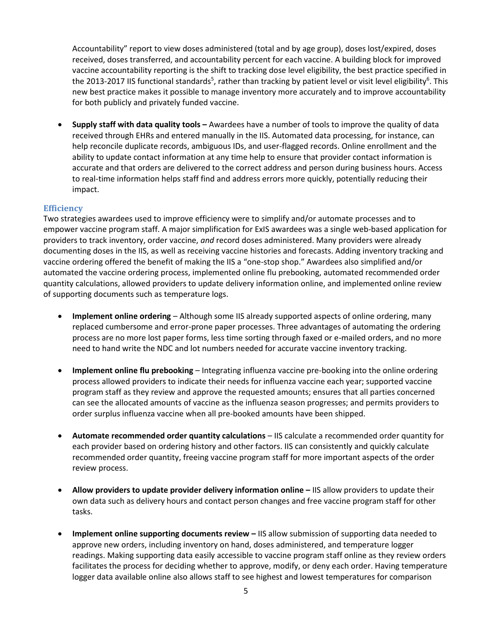Accountability" report to view doses administered (total and by age group), doses lost/expired, doses received, doses transferred, and accountability percent for each vaccine. A building block for improved vaccine accountability reporting is the shift to tracking dose level eligibility, the best practice specified in the 2013-2017 IIS functional standards<sup>5</sup>, rather than tracking by patient level or visit level eligibility<sup>6</sup>. This new best practice makes it possible to manage inventory more accurately and to improve accountability for both publicly and privately funded vaccine.

 **Supply staff with data quality tools –** Awardees have a number of tools to improve the quality of data received through EHRs and entered manually in the IIS. Automated data processing, for instance, can help reconcile duplicate records, ambiguous IDs, and user-flagged records. Online enrollment and the ability to update contact information at any time help to ensure that provider contact information is accurate and that orders are delivered to the correct address and person during business hours. Access to real-time information helps staff find and address errors more quickly, potentially reducing their impact.

#### **Efficiency**

Two strategies awardees used to improve efficiency were to simplify and/or automate processes and to empower vaccine program staff. A major simplification for ExIS awardees was a single web-based application for providers to track inventory, order vaccine, *and* record doses administered. Many providers were already documenting doses in the IIS, as well as receiving vaccine histories and forecasts. Adding inventory tracking and vaccine ordering offered the benefit of making the IIS a "one-stop shop." Awardees also simplified and/or automated the vaccine ordering process, implemented online flu prebooking, automated recommended order quantity calculations, allowed providers to update delivery information online, and implemented online review of supporting documents such as temperature logs.

- $\bullet$ **Implement online ordering** – Although some IIS already supported aspects of online ordering, many replaced cumbersome and error-prone paper processes. Three advantages of automating the ordering process are no more lost paper forms, less time sorting through faxed or e-mailed orders, and no more need to hand write the NDC and lot numbers needed for accurate vaccine inventory tracking.
- $\bullet$ **Implement online flu prebooking** – Integrating influenza vaccine pre-booking into the online ordering process allowed providers to indicate their needs for influenza vaccine each year; supported vaccine program staff as they review and approve the requested amounts; ensures that all parties concerned can see the allocated amounts of vaccine as the influenza season progresses; and permits providers to order surplus influenza vaccine when all pre-booked amounts have been shipped.
- **Automate recommended order quantity calculations** IIS calculate a recommended order quantity for each provider based on ordering history and other factors. IIS can consistently and quickly calculate recommended order quantity, freeing vaccine program staff for more important aspects of the order review process.
- $\bullet$ **Allow providers to update provider delivery information online –** IIS allow providers to update their own data such as delivery hours and contact person changes and free vaccine program staff for other tasks.
- $\bullet$ **Implement online supporting documents review –** IIS allow submission of supporting data needed to approve new orders, including inventory on hand, doses administered, and temperature logger readings. Making supporting data easily accessible to vaccine program staff online as they review orders facilitates the process for deciding whether to approve, modify, or deny each order. Having temperature logger data available online also allows staff to see highest and lowest temperatures for comparison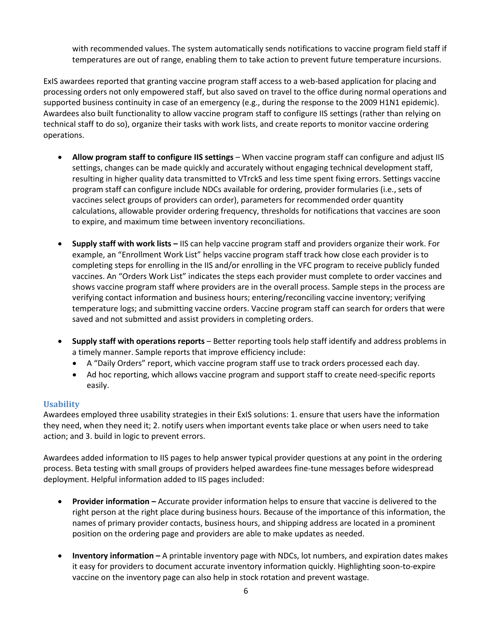with recommended values. The system automatically sends notifications to vaccine program field staff if temperatures are out of range, enabling them to take action to prevent future temperature incursions.

ExIS awardees reported that granting vaccine program staff access to a web-based application for placing and processing orders not only empowered staff, but also saved on travel to the office during normal operations and supported business continuity in case of an emergency (e.g., during the response to the 2009 H1N1 epidemic). Awardees also built functionality to allow vaccine program staff to configure IIS settings (rather than relying on technical staff to do so), organize their tasks with work lists, and create reports to monitor vaccine ordering operations.

- **Allow program staff to configure IIS settings** When vaccine program staff can configure and adjust IIS settings, changes can be made quickly and accurately without engaging technical development staff, resulting in higher quality data transmitted to VTrckS and less time spent fixing errors. Settings vaccine program staff can configure include NDCs available for ordering, provider formularies (i.e., sets of vaccines select groups of providers can order), parameters for recommended order quantity calculations, allowable provider ordering frequency, thresholds for notifications that vaccines are soon to expire, and maximum time between inventory reconciliations.
- $\bullet$ **Supply staff with work lists –** IIS can help vaccine program staff and providers organize their work. For example, an "Enrollment Work List" helps vaccine program staff track how close each provider is to completing steps for enrolling in the IIS and/or enrolling in the VFC program to receive publicly funded vaccines. An "Orders Work List" indicates the steps each provider must complete to order vaccines and shows vaccine program staff where providers are in the overall process. Sample steps in the process are verifying contact information and business hours; entering/reconciling vaccine inventory; verifying temperature logs; and submitting vaccine orders. Vaccine program staff can search for orders that were saved and not submitted and assist providers in completing orders.
- $\bullet$ **Supply staff with operations reports** – Better reporting tools help staff identify and address problems in a timely manner. Sample reports that improve efficiency include:
	- A "Daily Orders" report, which vaccine program staff use to track orders processed each day.
	- Ad hoc reporting, which allows vaccine program and support staff to create need-specific reports easily.

#### **Usability**

Awardees employed three usability strategies in their ExIS solutions: 1. ensure that users have the information they need, when they need it; 2. notify users when important events take place or when users need to take action; and 3. build in logic to prevent errors.

Awardees added information to IIS pages to help answer typical provider questions at any point in the ordering process. Beta testing with small groups of providers helped awardees fine-tune messages before widespread deployment. Helpful information added to IIS pages included:

- $\bullet$ **Provider information –** Accurate provider information helps to ensure that vaccine is delivered to the right person at the right place during business hours. Because of the importance of this information, the names of primary provider contacts, business hours, and shipping address are located in a prominent position on the ordering page and providers are able to make updates as needed.
- $\bullet$ **Inventory information –** A printable inventory page with NDCs, lot numbers, and expiration dates makes it easy for providers to document accurate inventory information quickly. Highlighting soon-to-expire vaccine on the inventory page can also help in stock rotation and prevent wastage.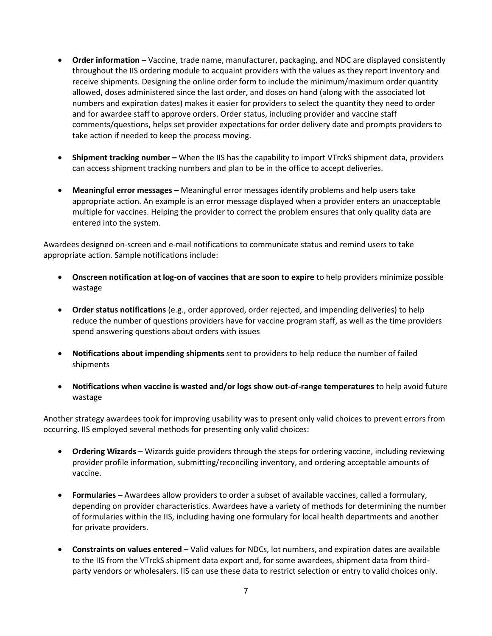- **Order information -** Vaccine, trade name, manufacturer, packaging, and NDC are displayed consistently throughout the IIS ordering module to acquaint providers with the values as they report inventory and receive shipments. Designing the online order form to include the minimum/maximum order quantity allowed, doses administered since the last order, and doses on hand (along with the associated lot numbers and expiration dates) makes it easier for providers to select the quantity they need to order and for awardee staff to approve orders. Order status, including provider and vaccine staff comments/questions, helps set provider expectations for order delivery date and prompts providers to take action if needed to keep the process moving.
- **Shipment tracking number –** When the IIS has the capability to import VTrckS shipment data, providers can access shipment tracking numbers and plan to be in the office to accept deliveries.
- **Meaningful error messages –** Meaningful error messages identify problems and help users take appropriate action. An example is an error message displayed when a provider enters an unacceptable multiple for vaccines. Helping the provider to correct the problem ensures that only quality data are entered into the system.

Awardees designed on-screen and e-mail notifications to communicate status and remind users to take appropriate action. Sample notifications include:

- **Onscreen notification at log-on of vaccines that are soon to expire** to help providers minimize possible wastage
- **Order status notifications** (e.g., order approved, order rejected, and impending deliveries) to help reduce the number of questions providers have for vaccine program staff, as well as the time providers spend answering questions about orders with issues
- **Notifications about impending shipments** sent to providers to help reduce the number of failed shipments
- **Notifications when vaccine is wasted and/or logs show out-of-range temperatures** to help avoid future wastage

Another strategy awardees took for improving usability was to present only valid choices to prevent errors from occurring. IIS employed several methods for presenting only valid choices:

- **Ordering Wizards** Wizards guide providers through the steps for ordering vaccine, including reviewing provider profile information, submitting/reconciling inventory, and ordering acceptable amounts of vaccine.
- **Formularies**  Awardees allow providers to order a subset of available vaccines, called a formulary, depending on provider characteristics. Awardees have a variety of methods for determining the number of formularies within the IIS, including having one formulary for local health departments and another for private providers.
- **Constraints on values entered** Valid values for NDCs, lot numbers, and expiration dates are available to the IIS from the VTrckS shipment data export and, for some awardees, shipment data from thirdparty vendors or wholesalers. IIS can use these data to restrict selection or entry to valid choices only.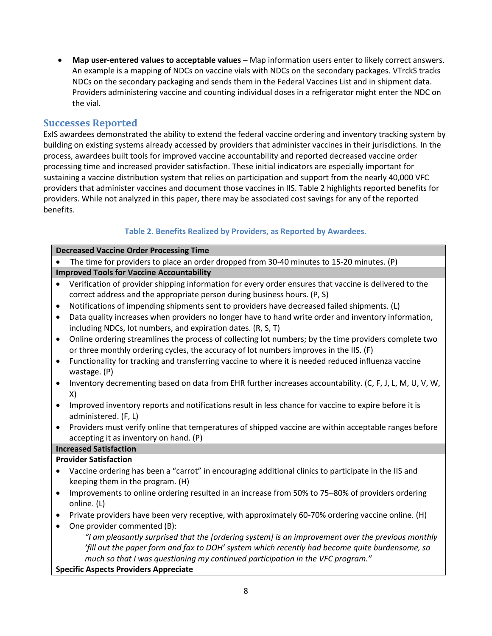**Map user-entered values to acceptable values** – Map information users enter to likely correct answers. An example is a mapping of NDCs on vaccine vials with NDCs on the secondary packages. VTrckS tracks NDCs on the secondary packaging and sends them in the Federal Vaccines List and in shipment data. Providers administering vaccine and counting individual doses in a refrigerator might enter the NDC on the vial.

### **Successes Reported**

ExIS awardees demonstrated the ability to extend the federal vaccine ordering and inventory tracking system by building on existing systems already accessed by providers that administer vaccines in their jurisdictions. In the process, awardees built tools for improved vaccine accountability and reported decreased vaccine order processing time and increased provider satisfaction. These initial indicators are especially important for sustaining a vaccine distribution system that relies on participation and support from the nearly 40,000 VFC providers that administer vaccines and document those vaccines in IIS. Table 2 highlights reported benefits for providers. While not analyzed in this paper, there may be associated cost savings for any of the reported benefits.

### **Table 2. Benefits Realized by Providers, as Reported by Awardees.**

| <b>Decreased Vaccine Order Processing Time</b>                                                                                                                                                               |  |  |  |  |  |  |
|--------------------------------------------------------------------------------------------------------------------------------------------------------------------------------------------------------------|--|--|--|--|--|--|
| The time for providers to place an order dropped from 30-40 minutes to 15-20 minutes. (P)                                                                                                                    |  |  |  |  |  |  |
| <b>Improved Tools for Vaccine Accountability</b>                                                                                                                                                             |  |  |  |  |  |  |
| Verification of provider shipping information for every order ensures that vaccine is delivered to the<br>$\bullet$<br>correct address and the appropriate person during business hours. (P, S)              |  |  |  |  |  |  |
| Notifications of impending shipments sent to providers have decreased failed shipments. (L)<br>$\bullet$                                                                                                     |  |  |  |  |  |  |
| Data quality increases when providers no longer have to hand write order and inventory information,<br>$\bullet$<br>including NDCs, lot numbers, and expiration dates. (R, S, T)                             |  |  |  |  |  |  |
| Online ordering streamlines the process of collecting lot numbers; by the time providers complete two<br>$\bullet$<br>or three monthly ordering cycles, the accuracy of lot numbers improves in the IIS. (F) |  |  |  |  |  |  |
| Functionality for tracking and transferring vaccine to where it is needed reduced influenza vaccine<br>$\bullet$<br>wastage. (P)                                                                             |  |  |  |  |  |  |
| Inventory decrementing based on data from EHR further increases accountability. (C, F, J, L, M, U, V, W,<br>$\bullet$<br>X)                                                                                  |  |  |  |  |  |  |
| Improved inventory reports and notifications result in less chance for vaccine to expire before it is<br>$\bullet$<br>administered. (F, L)                                                                   |  |  |  |  |  |  |
| Providers must verify online that temperatures of shipped vaccine are within acceptable ranges before<br>$\bullet$<br>accepting it as inventory on hand. (P)                                                 |  |  |  |  |  |  |
| <b>Increased Satisfaction</b>                                                                                                                                                                                |  |  |  |  |  |  |
| <b>Provider Satisfaction</b>                                                                                                                                                                                 |  |  |  |  |  |  |
| Vaccine ordering has been a "carrot" in encouraging additional clinics to participate in the IIS and<br>keeping them in the program. (H)                                                                     |  |  |  |  |  |  |
| Improvements to online ordering resulted in an increase from 50% to 75-80% of providers ordering<br>$\bullet$<br>online. (L)                                                                                 |  |  |  |  |  |  |
| Private providers have been very receptive, with approximately 60-70% ordering vaccine online. (H)<br>$\bullet$                                                                                              |  |  |  |  |  |  |
| One provider commented (B):<br>$\bullet$                                                                                                                                                                     |  |  |  |  |  |  |
| "I am pleasantly surprised that the [ordering system] is an improvement over the previous monthly<br>'fill out the paper form and fax to DOH' system which recently had become quite burdensome, so          |  |  |  |  |  |  |
| much so that I was questioning my continued participation in the VFC program."                                                                                                                               |  |  |  |  |  |  |
| <b>Specific Aspects Providers Appreciate</b>                                                                                                                                                                 |  |  |  |  |  |  |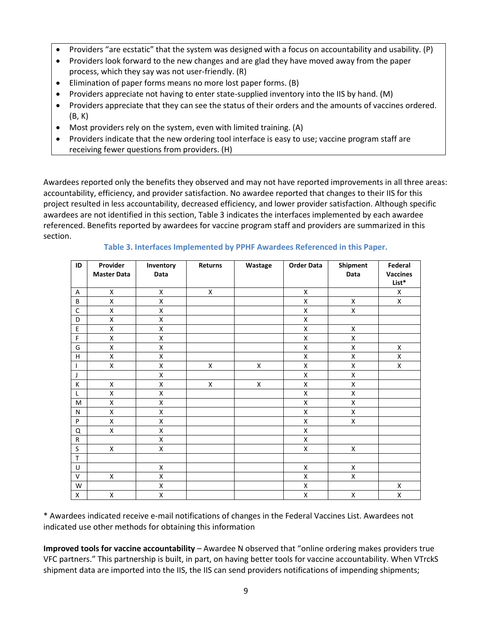- $\bullet$ Providers "are ecstatic" that the system was designed with a focus on accountability and usability. (P)
- $\bullet$ Providers look forward to the new changes and are glad they have moved away from the paper process, which they say was not user-friendly. (R)
- $\bullet$ Elimination of paper forms means no more lost paper forms. (B)
- $\bullet$ Providers appreciate not having to enter state-supplied inventory into the IIS by hand. (M)
- $\bullet$ Providers appreciate that they can see the status of their orders and the amounts of vaccines ordered. (B, K)
- $\bullet$ Most providers rely on the system, even with limited training. (A)
- $\bullet$ Providers indicate that the new ordering tool interface is easy to use; vaccine program staff are receiving fewer questions from providers. (H)

Awardees reported only the benefits they observed and may not have reported improvements in all three areas: accountability, efficiency, and provider satisfaction. No awardee reported that changes to their IIS for this project resulted in less accountability, decreased efficiency, and lower provider satisfaction. Although specific awardees are not identified in this section, Table 3 indicates the interfaces implemented by each awardee referenced. Benefits reported by awardees for vaccine program staff and providers are summarized in this section.

| ID           | Provider<br><b>Master Data</b> | Inventory<br>Data | Returns | Wastage            | <b>Order Data</b> | Shipment<br>Data   | Federal<br><b>Vaccines</b> |
|--------------|--------------------------------|-------------------|---------|--------------------|-------------------|--------------------|----------------------------|
|              |                                |                   |         |                    |                   |                    | List*                      |
| Α            | X                              | X                 | X       |                    | X                 |                    | X                          |
| B            | X                              | X                 |         |                    | X                 | X                  | X                          |
| $\mathsf C$  | X                              | X                 |         |                    | Χ                 | X                  |                            |
| D            | X                              | X                 |         |                    | X                 |                    |                            |
| E            | $\pmb{\mathsf{X}}$             | Χ                 |         |                    | X                 | X                  |                            |
| F            | X                              | X                 |         |                    | X                 | X                  |                            |
| G            | X                              | X                 |         |                    | X                 | $\pmb{\mathsf{X}}$ | X                          |
| H            | X                              | X                 |         |                    | X                 | X                  | X                          |
| $\mathbf{I}$ | X                              | X                 | X       | X                  | X                 | $\pmb{\mathsf{X}}$ | X                          |
| J            |                                | X                 |         |                    | X                 | X                  |                            |
| К            | X                              | X                 | X       | $\pmb{\mathsf{X}}$ | X                 | X                  |                            |
| L            | $\pmb{\mathsf{X}}$             | X                 |         |                    | Χ                 | X                  |                            |
| M            | X                              | X                 |         |                    | X                 | X                  |                            |
| N            | X                              | X                 |         |                    | X                 | X                  |                            |
| P            | X                              | X                 |         |                    | X                 | X                  |                            |
| Q            | X                              | X                 |         |                    | X                 |                    |                            |
| ${\sf R}$    |                                | X                 |         |                    | X                 |                    |                            |
| S            | X                              | X                 |         |                    | X                 | X                  |                            |
| T            |                                |                   |         |                    |                   |                    |                            |
| U            |                                | X                 |         |                    | X                 | Χ                  |                            |
| V            | X                              | X                 |         |                    | X                 | X                  |                            |
| W            |                                | X                 |         |                    | X                 |                    | $\pmb{\mathsf{X}}$         |
| X            | X                              | Χ                 |         |                    | X                 | X                  | X                          |

**Table 3. Interfaces Implemented by PPHF Awardees Referenced in this Paper.** 

\* Awardees indicated receive e-mail notifications of changes in the Federal Vaccines List. Awardees not indicated use other methods for obtaining this information

**Improved tools for vaccine accountability** – Awardee N observed that "online ordering makes providers true VFC partners." This partnership is built, in part, on having better tools for vaccine accountability. When VTrckS shipment data are imported into the IIS, the IIS can send providers notifications of impending shipments;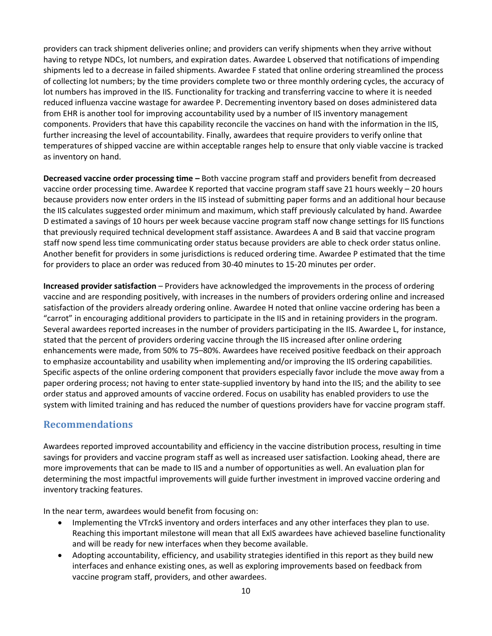providers can track shipment deliveries online; and providers can verify shipments when they arrive without having to retype NDCs, lot numbers, and expiration dates. Awardee L observed that notifications of impending shipments led to a decrease in failed shipments. Awardee F stated that online ordering streamlined the process of collecting lot numbers; by the time providers complete two or three monthly ordering cycles, the accuracy of lot numbers has improved in the IIS. Functionality for tracking and transferring vaccine to where it is needed reduced influenza vaccine wastage for awardee P. Decrementing inventory based on doses administered data from EHR is another tool for improving accountability used by a number of IIS inventory management components. Providers that have this capability reconcile the vaccines on hand with the information in the IIS, further increasing the level of accountability. Finally, awardees that require providers to verify online that temperatures of shipped vaccine are within acceptable ranges help to ensure that only viable vaccine is tracked as inventory on hand.

**Decreased vaccine order processing time –** Both vaccine program staff and providers benefit from decreased vaccine order processing time. Awardee K reported that vaccine program staff save 21 hours weekly – 20 hours because providers now enter orders in the IIS instead of submitting paper forms and an additional hour because the IIS calculates suggested order minimum and maximum, which staff previously calculated by hand. Awardee D estimated a savings of 10 hours per week because vaccine program staff now change settings for IIS functions that previously required technical development staff assistance. Awardees A and B said that vaccine program staff now spend less time communicating order status because providers are able to check order status online. Another benefit for providers in some jurisdictions is reduced ordering time. Awardee P estimated that the time for providers to place an order was reduced from 30-40 minutes to 15-20 minutes per order.

**Increased provider satisfaction** – Providers have acknowledged the improvements in the process of ordering vaccine and are responding positively, with increases in the numbers of providers ordering online and increased satisfaction of the providers already ordering online. Awardee H noted that online vaccine ordering has been a "carrot" in encouraging additional providers to participate in the IIS and in retaining providers in the program. Several awardees reported increases in the number of providers participating in the IIS. Awardee L, for instance, stated that the percent of providers ordering vaccine through the IIS increased after online ordering enhancements were made, from 50% to 75–80%. Awardees have received positive feedback on their approach to emphasize accountability and usability when implementing and/or improving the IIS ordering capabilities. Specific aspects of the online ordering component that providers especially favor include the move away from a paper ordering process; not having to enter state-supplied inventory by hand into the IIS; and the ability to see order status and approved amounts of vaccine ordered. Focus on usability has enabled providers to use the system with limited training and has reduced the number of questions providers have for vaccine program staff.

## **Recommendations**

Awardees reported improved accountability and efficiency in the vaccine distribution process, resulting in time savings for providers and vaccine program staff as well as increased user satisfaction. Looking ahead, there are more improvements that can be made to IIS and a number of opportunities as well. An evaluation plan for determining the most impactful improvements will guide further investment in improved vaccine ordering and inventory tracking features.

In the near term, awardees would benefit from focusing on:

- $\bullet$ Implementing the VTrckS inventory and orders interfaces and any other interfaces they plan to use. Reaching this important milestone will mean that all ExIS awardees have achieved baseline functionality and will be ready for new interfaces when they become available.
- Adopting accountability, efficiency, and usability strategies identified in this report as they build new interfaces and enhance existing ones, as well as exploring improvements based on feedback from vaccine program staff, providers, and other awardees.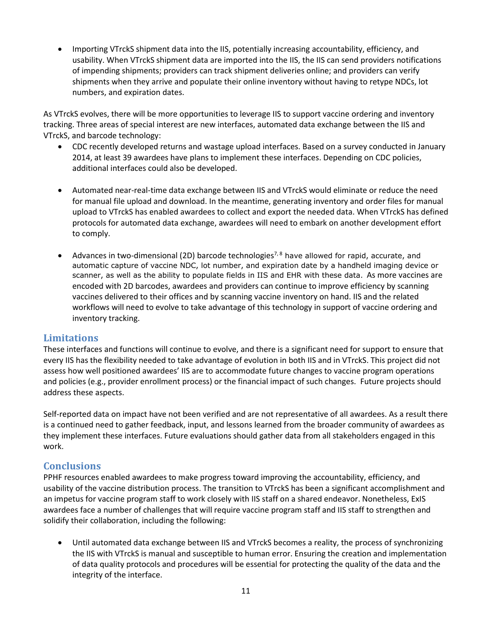Importing VTrckS shipment data into the IIS, potentially increasing accountability, efficiency, and usability. When VTrckS shipment data are imported into the IIS, the IIS can send providers notifications of impending shipments; providers can track shipment deliveries online; and providers can verify shipments when they arrive and populate their online inventory without having to retype NDCs, lot numbers, and expiration dates.

As VTrckS evolves, there will be more opportunities to leverage IIS to support vaccine ordering and inventory tracking. Three areas of special interest are new interfaces, automated data exchange between the IIS and VTrckS, and barcode technology:

- CDC recently developed returns and wastage upload interfaces. Based on a survey conducted in January 2014, at least 39 awardees have plans to implement these interfaces. Depending on CDC policies, additional interfaces could also be developed.
- Automated near-real-time data exchange between IIS and VTrckS would eliminate or reduce the need for manual file upload and download. In the meantime, generating inventory and order files for manual upload to VTrckS has enabled awardees to collect and export the needed data. When VTrckS has defined protocols for automated data exchange, awardees will need to embark on another development effort to comply.
- Advances in two-dimensional (2D) barcode technologies<sup>7,8</sup> have allowed for rapid, accurate, and automatic capture of vaccine NDC, lot number, and expiration date by a handheld imaging device or scanner, as well as the ability to populate fields in IIS and EHR with these data. As more vaccines are encoded with 2D barcodes, awardees and providers can continue to improve efficiency by scanning vaccines delivered to their offices and by scanning vaccine inventory on hand. IIS and the related workflows will need to evolve to take advantage of this technology in support of vaccine ordering and inventory tracking.

### **Limitations**

These interfaces and functions will continue to evolve, and there is a significant need for support to ensure that every IIS has the flexibility needed to take advantage of evolution in both IIS and in VTrckS. This project did not assess how well positioned awardees' IIS are to accommodate future changes to vaccine program operations and policies (e.g., provider enrollment process) or the financial impact of such changes. Future projects should address these aspects.

Self-reported data on impact have not been verified and are not representative of all awardees. As a result there is a continued need to gather feedback, input, and lessons learned from the broader community of awardees as they implement these interfaces. Future evaluations should gather data from all stakeholders engaged in this work.

### **Conclusions**

PPHF resources enabled awardees to make progress toward improving the accountability, efficiency, and usability of the vaccine distribution process. The transition to VTrckS has been a significant accomplishment and an impetus for vaccine program staff to work closely with IIS staff on a shared endeavor. Nonetheless, ExIS awardees face a number of challenges that will require vaccine program staff and IIS staff to strengthen and solidify their collaboration, including the following:

 Until automated data exchange between IIS and VTrckS becomes a reality, the process of synchronizing the IIS with VTrckS is manual and susceptible to human error. Ensuring the creation and implementation of data quality protocols and procedures will be essential for protecting the quality of the data and the integrity of the interface.